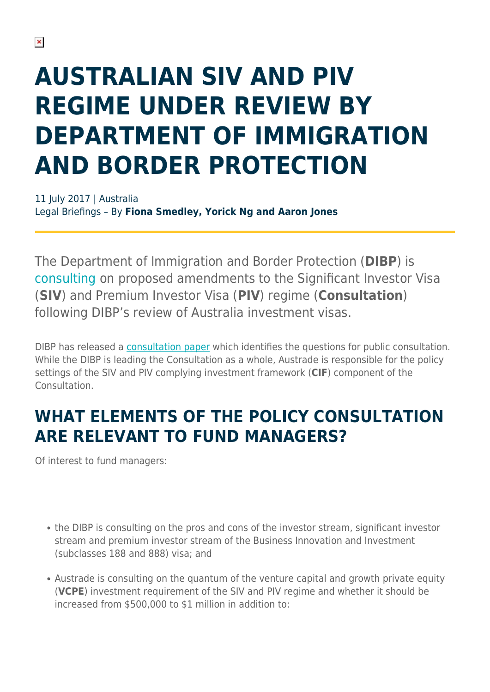# **AUSTRALIAN SIV AND PIV REGIME UNDER REVIEW BY DEPARTMENT OF IMMIGRATION AND BORDER PROTECTION**

11 July 2017 | Australia Legal Briefings – By **Fiona Smedley, Yorick Ng and Aaron Jones**

The Department of Immigration and Border Protection (**DIBP**) is [consulting](https://www.border.gov.au/about/reports-publications/discussion-papers-submissions) on proposed amendments to the Significant Investor Visa (**SIV**) and Premium Investor Visa (**PIV**) regime (**Consultation**) following DIBP's review of Australia investment visas.

DIBP has released a [consultation paper](https://www.border.gov.au/ReportsandPublications/Documents/discussion-papers/review-australia-business-investment-talent-visas.pdf) which identifies the questions for public consultation. While the DIBP is leading the Consultation as a whole, Austrade is responsible for the policy settings of the SIV and PIV complying investment framework (**CIF**) component of the **Consultation** 

### **WHAT ELEMENTS OF THE POLICY CONSULTATION ARE RELEVANT TO FUND MANAGERS?**

Of interest to fund managers:

- the DIBP is consulting on the pros and cons of the investor stream, significant investor stream and premium investor stream of the Business Innovation and Investment (subclasses 188 and 888) visa; and
- Austrade is consulting on the quantum of the venture capital and growth private equity (**VCPE**) investment requirement of the SIV and PIV regime and whether it should be increased from \$500,000 to \$1 million in addition to: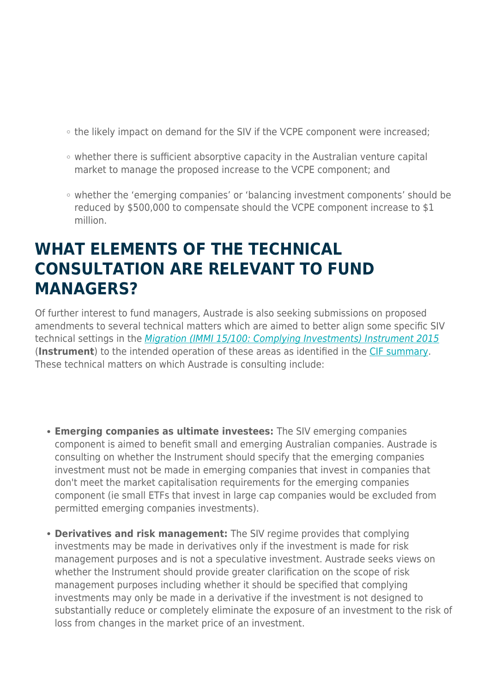- the likely impact on demand for the SIV if the VCPE component were increased;
- whether there is sufficient absorptive capacity in the Australian venture capital market to manage the proposed increase to the VCPE component; and
- whether the 'emerging companies' or 'balancing investment components' should be reduced by \$500,000 to compensate should the VCPE component increase to \$1 million.

#### **WHAT ELEMENTS OF THE TECHNICAL CONSULTATION ARE RELEVANT TO FUND MANAGERS?**

Of further interest to fund managers, Austrade is also seeking submissions on proposed amendments to several technical matters which are aimed to better align some specific SIV technical settings in the [Migration \(IMMI 15/100: Complying Investments\) Instrument 2015](https://www.legislation.gov.au/Details/F2015L01012) (**Instrument**) to the intended operation of these areas as identified in the [CIF summary](https://www.austrade.gov.au/ArticleDocuments/5786/SIV_PIV_Complying_Investment_framework.pdf.aspx). These technical matters on which Austrade is consulting include:

- **Emerging companies as ultimate investees:** The SIV emerging companies component is aimed to benefit small and emerging Australian companies. Austrade is consulting on whether the Instrument should specify that the emerging companies investment must not be made in emerging companies that invest in companies that don't meet the market capitalisation requirements for the emerging companies component (ie small ETFs that invest in large cap companies would be excluded from permitted emerging companies investments).
- **Derivatives and risk management:** The SIV regime provides that complying investments may be made in derivatives only if the investment is made for risk management purposes and is not a speculative investment. Austrade seeks views on whether the Instrument should provide greater clarification on the scope of risk management purposes including whether it should be specified that complying investments may only be made in a derivative if the investment is not designed to substantially reduce or completely eliminate the exposure of an investment to the risk of loss from changes in the market price of an investment.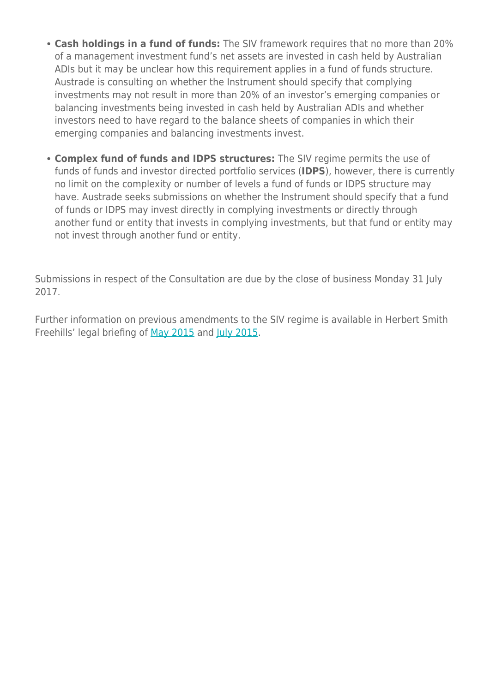- **Cash holdings in a fund of funds:** The SIV framework requires that no more than 20% of a management investment fund's net assets are invested in cash held by Australian ADIs but it may be unclear how this requirement applies in a fund of funds structure. Austrade is consulting on whether the Instrument should specify that complying investments may not result in more than 20% of an investor's emerging companies or balancing investments being invested in cash held by Australian ADIs and whether investors need to have regard to the balance sheets of companies in which their emerging companies and balancing investments invest.
- **Complex fund of funds and IDPS structures:** The SIV regime permits the use of funds of funds and investor directed portfolio services (**IDPS**), however, there is currently no limit on the complexity or number of levels a fund of funds or IDPS structure may have. Austrade seeks submissions on whether the Instrument should specify that a fund of funds or IDPS may invest directly in complying investments or directly through another fund or entity that invests in complying investments, but that fund or entity may not invest through another fund or entity.

Submissions in respect of the Consultation are due by the close of business Monday 31 July 2017.

Further information on previous amendments to the SIV regime is available in Herbert Smith Freehills' legal briefing of [May 2015](https://www.herbertsmithfreehills.com/latest-thinking/new-siv-and-piv-investment-programmes-released) and [July 2015.](https://www.herbertsmithfreehills.com/latest-thinking/new-siv-requirements-from-1-july-2015)